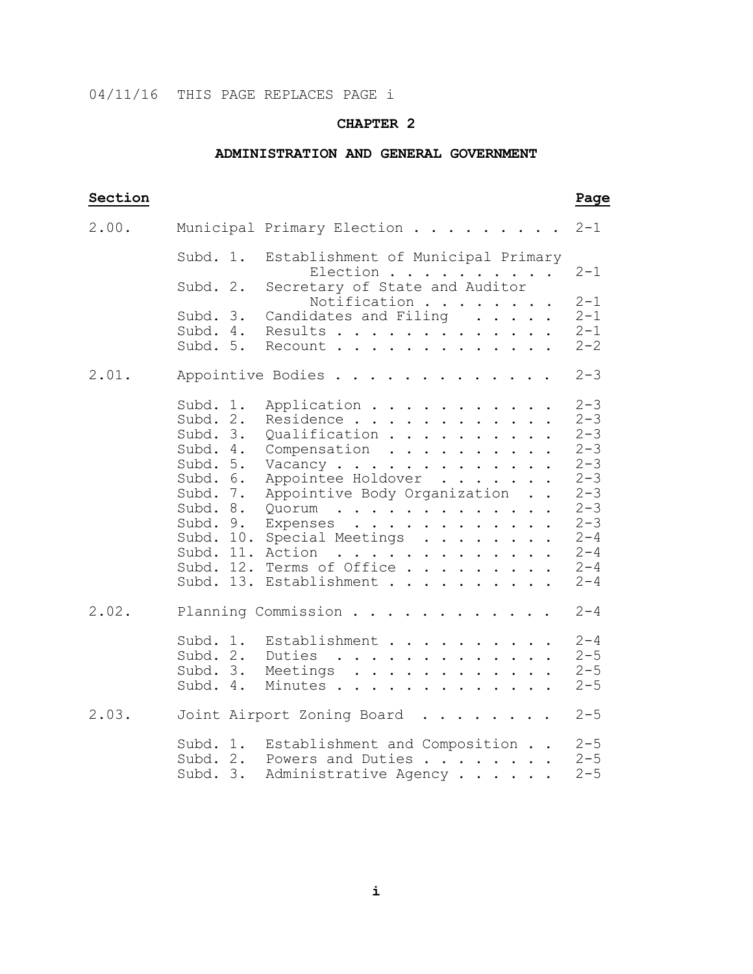## 04/11/16 THIS PAGE REPLACES PAGE i

### **CHAPTER 2**

### **ADMINISTRATION AND GENERAL GOVERNMENT**

# **Section Page** 2.00. Municipal Primary Election . . . . . . . 2-1 Subd. 1. Establishment of Municipal Primary Election . . . . . . . . . 2-1<br>Subd. 2. Secretary of State and Auditor Secretary of State and Auditor Notification . . . . . . .  $2-1$ <br>Subd. 3. Candidates and Filing . . . . . 2-1 Subd. 3. Candidates and Filing  $\ldots$ . 2-1<br>Subd. 4. Results............. 2-1 Subd. 4. Results . . . . . . . . . . . . . 2-1<br>Subd. 5. Recount . . . . . . . . . . . . 2-2  $Recount \ldots \ldots \ldots \ldots$ 2.01. Appointive Bodies . . . . . . . . . . . 2-3 Subd. 1. Application . . . . . . . . . . .  $2-3$ <br>Subd. 2. Residence . . . . . . . . . . . . 2-3 Subd. 2. Residence . . . . . . . . . . . . 2-3<br>Subd. 3. Oualification . . . . . . . . . 2-3 Subd. 3. Qualification . . . . . . . . . 2-3<br>Subd. 4. Compensation . . . . . . . . . 2-3 Subd. 4. Compensation  $\cdots$   $\cdots$   $\cdots$   $\cdots$   $\cdots$   $\cdots$   $\cdots$   $\cdots$   $\cdots$   $\cdots$   $\cdots$   $\cdots$   $\cdots$   $\cdots$   $\cdots$   $\cdots$   $\cdots$   $\cdots$   $\cdots$   $\cdots$   $\cdots$   $\cdots$   $\cdots$   $\cdots$   $\cdots$   $\cdots$   $\cdots$   $\cdots$   $\cdots$   $\cdots$   $\cdots$   $\cdots$   $\cdots$  Subd. 5. Vacancy  $\ldots$  . . . . . . . . . . . 2-3<br>Subd. 6. Appointee Holdover . . . . . . . 2-3 Subd. 6. Appointee Holdover . . . . . . 2-3<br>Subd. 7. Appointive Body Organization . . 2-3 Subd. 7. Appointive Body Organization . .  $2-3$ <br>Subd. 8. Quorum . . . . . . . . . . . . 2-3 Subd. 8. Quorum . . . . . . . . . . . . . 2-3 Subd. 9. Expenses . . . . . . . . . . . . 2-3 Subd. 10. Special Meetings . . . . . . . . 2-4 Subd. 11. Action . . . . . . . . . . . . . 2-4 Subd. 12. Terms of Office . . . . . . . . . 2-4 Subd. 13. Establishment . . . . . . . . . . 2-4 2.02. Planning Commission . . . . . . . . . . 2-4 Subd. 1. Establishment . . . . . . . . . . . 2-4<br>Subd. 3. Meetings . . . . . . . . . . . . . 2-5<br>Subd. 4. Minutes . . . . . . . . . . . . . 2-5 2.03. Joint Airport Zoning Board . . . . . . . . 2-5 Subd. 1. Establishment and Composition . .  $2-5$ <br>Subd. 2. Powers and Duties . . . . . . . 2-5 Subd. 2. Powers and Duties . . . . . . . 2-5<br>Subd. 3. Administrative Agency . . . . . 2-5 Subd. 3. Administrative Agency . . . . . .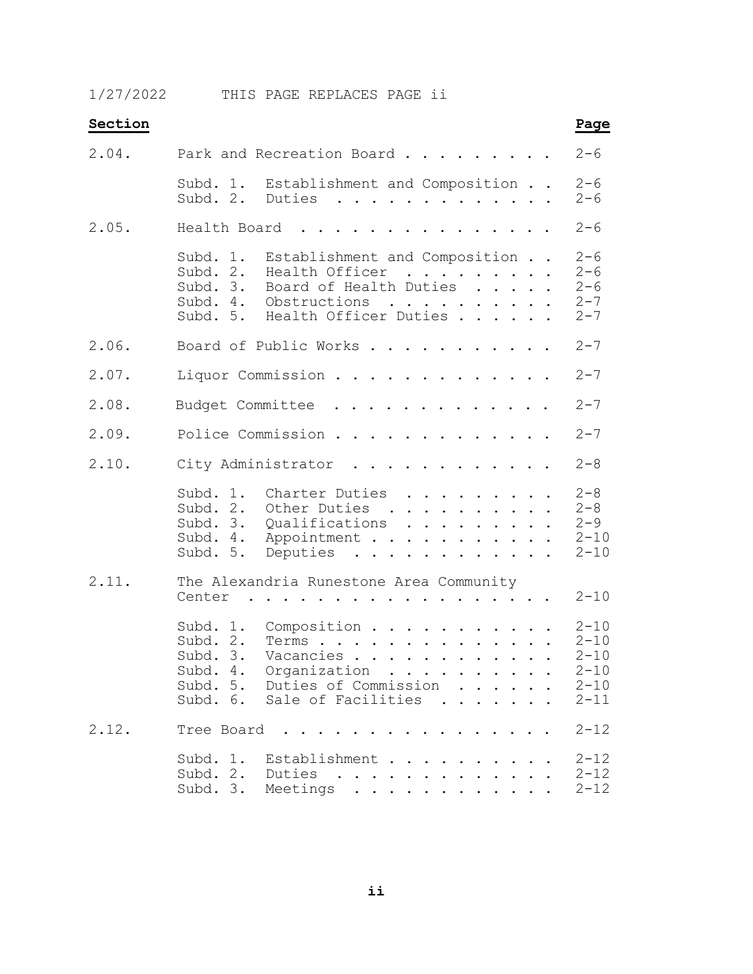1/27/2022 THIS PAGE REPLACES PAGE ii

| Section |                                                                                                                                                                                                                                                                                                                                                                                        | Page                                                                 |
|---------|----------------------------------------------------------------------------------------------------------------------------------------------------------------------------------------------------------------------------------------------------------------------------------------------------------------------------------------------------------------------------------------|----------------------------------------------------------------------|
| 2.04.   | Park and Recreation Board                                                                                                                                                                                                                                                                                                                                                              | $2 - 6$                                                              |
|         | Subd. 1.<br>Establishment and Composition<br>Duties<br>Subd. 2.<br>$\mathbf{a}^{\top} \cdot \mathbf{a}^{\top} \cdot \mathbf{a}^{\top} \cdot \mathbf{a}^{\top} \cdot \mathbf{a}^{\top} \cdot \mathbf{a}^{\top} \cdot \mathbf{a}^{\top} \cdot \mathbf{a}^{\top} \cdot \mathbf{a}^{\top} \cdot \mathbf{a}^{\top} \cdot \mathbf{a}^{\top} \cdot \mathbf{a}^{\top} \cdot \mathbf{a}^{\top}$ | $2 - 6$<br>$2 - 6$                                                   |
| 2.05.   | Health Board<br>.                                                                                                                                                                                                                                                                                                                                                                      | $2 - 6$                                                              |
|         | Subd. 1.<br>Establishment and Composition<br>Health Officer<br>Board of Health Duties<br>Subd. 2.<br>Subd. 3.<br>Obstructions<br>Subd. 4.<br>. The contract of the contract of the $\mathcal{A}_1$<br>Health Officer Duties<br>Subd. 5.                                                                                                                                                | $2 - 6$<br>$2 - 6$<br>$2 - 6$<br>$2 - 7$<br>$2 - 7$                  |
| 2.06.   | Board of Public Works                                                                                                                                                                                                                                                                                                                                                                  | $2 - 7$                                                              |
| 2.07.   | Liquor Commission<br>$\cdots$                                                                                                                                                                                                                                                                                                                                                          | $2 - 7$                                                              |
| 2.08.   | Budget Committee<br>$\begin{array}{cccccccccccccc} . & . & . & . & . & . & . & . & . \end{array}$<br>$\cdot$ $\cdot$ $\cdot$ $\cdot$                                                                                                                                                                                                                                                   | $2 - 7$                                                              |
| 2.09.   | Police Commission                                                                                                                                                                                                                                                                                                                                                                      | $2 - 7$                                                              |
| 2.10.   | City Administrator<br>$\cdot$ $\cdot$ $\cdot$ $\cdot$ $\cdot$ $\cdot$ $\cdot$ $\cdot$                                                                                                                                                                                                                                                                                                  | $2 - 8$                                                              |
|         | Subd. 1.<br>Charter Duties<br>.<br>Subd. 2.<br>Other Duties<br>$\sim$ $\sim$<br>.<br>Subd. 3.<br>Qualifications<br>Subd. 4.<br>Appointment<br>Subd. 5.<br>Deputies<br>.                                                                                                                                                                                                                | $2 - 8$<br>$2 - 8$<br>$2 - 9$<br>$2 - 10$<br>$2 - 10$                |
| 2.11.   | The Alexandria Runestone Area Community<br>Center<br>. The contract of the contract of the contract of the contract of the contract of the contract of the contract of the contract of the contract of the contract of the contract of the contract of the contract of the contrac                                                                                                     | $2 - 10$                                                             |
|         | Subd. 1.<br>Composition<br>Subd. 2.<br>Terms<br>Subd. 3.<br>Vacancies<br>Subd. 4. Organization<br>Subd. 5. Duties of Commission<br>Subd. 6. Sale of Facilities<br>$\overline{a}$ and $\overline{a}$ and $\overline{a}$                                                                                                                                                                 | $2 - 10$<br>$2 - 10$<br>$2 - 10$<br>$2 - 10$<br>$2 - 10$<br>$2 - 11$ |
| 2.12.   | Tree Board                                                                                                                                                                                                                                                                                                                                                                             | $2 - 12$                                                             |
|         | Subd. 1.<br>Establishment<br>Subd. 2. Duties<br>Subd. 3.<br>.<br>Meetings                                                                                                                                                                                                                                                                                                              | $2 - 12$<br>$2 - 12$<br>$2 - 12$                                     |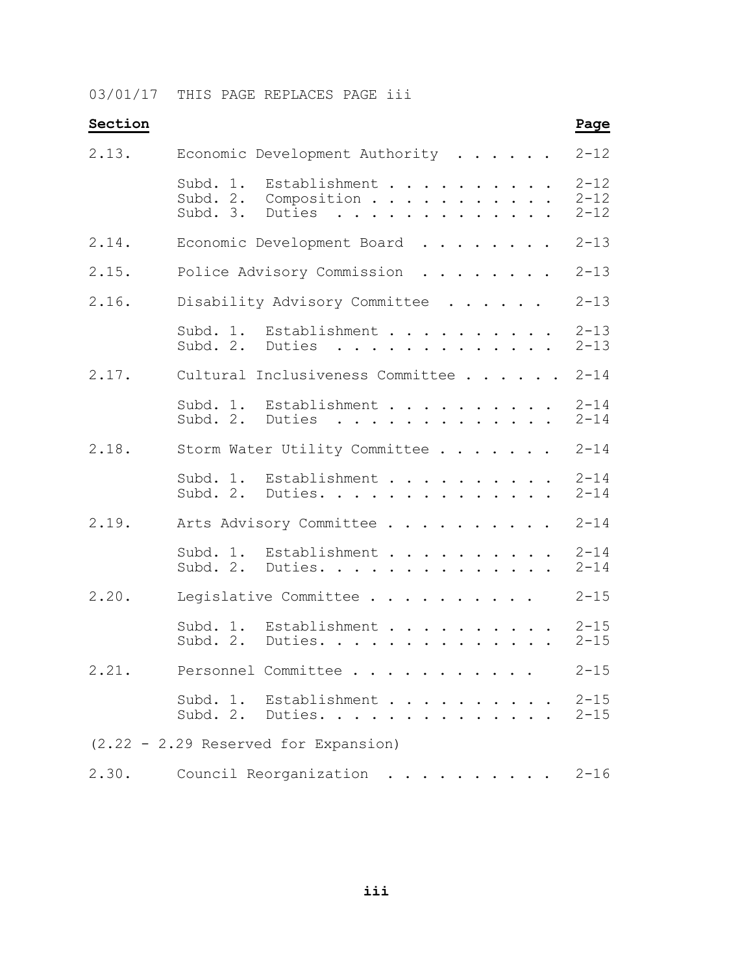03/01/17 THIS PAGE REPLACES PAGE iii

| Section |                                                                            | Page                             |  |  |  |  |  |
|---------|----------------------------------------------------------------------------|----------------------------------|--|--|--|--|--|
| 2.13.   | Economic Development Authority<br>$\mathbf{r}$                             |                                  |  |  |  |  |  |
|         | Establishment<br>Subd. 1.<br>Subd. 2.<br>Composition<br>Duties<br>Subd. 3. | $2 - 12$<br>$2 - 12$<br>$2 - 12$ |  |  |  |  |  |
| 2.14.   | Economic Development Board                                                 |                                  |  |  |  |  |  |
| 2.15.   | Police Advisory Commission                                                 |                                  |  |  |  |  |  |
| 2.16.   | Disability Advisory Committee                                              | $2 - 13$                         |  |  |  |  |  |
|         | Subd. 1. Establishment<br>Subd. 2. Duties                                  | $2 - 13$<br>$2 - 13$             |  |  |  |  |  |
| 2.17.   | Cultural Inclusiveness Committee                                           | $2 - 14$                         |  |  |  |  |  |
|         | Subd. 1. Establishment 2-14<br>Subd. 2. Duties                             | $2 - 14$                         |  |  |  |  |  |
| 2.18.   | Storm Water Utility Committee                                              | $2 - 14$                         |  |  |  |  |  |
|         | Subd. 1. Establishment<br>Subd. 2. Duties.                                 | $2 - 14$<br>$2 - 14$             |  |  |  |  |  |
| 2.19.   | Arts Advisory Committee                                                    | $2 - 14$                         |  |  |  |  |  |
|         | Subd. 1. Establishment<br>Subd. 2. Duties.                                 | $2 - 14$<br>$2 - 14$             |  |  |  |  |  |
| 2.20.   | Legislative Committee                                                      | $2 - 15$                         |  |  |  |  |  |
|         | Subd. 1.<br>Establishment<br>Subd. 2. Duties.                              | $2 - 15$<br>$2 - 15$             |  |  |  |  |  |
| 2.21.   | Personnel Committee                                                        | $2 - 15$                         |  |  |  |  |  |
|         | Subd. 1. Establishment<br>Subd. 2. Duties.                                 | $2 - 15$<br>$2 - 15$             |  |  |  |  |  |
|         | $(2.22 - 2.29$ Reserved for Expansion)                                     |                                  |  |  |  |  |  |
| 2.30.   | Council Reorganization                                                     | $2 - 16$                         |  |  |  |  |  |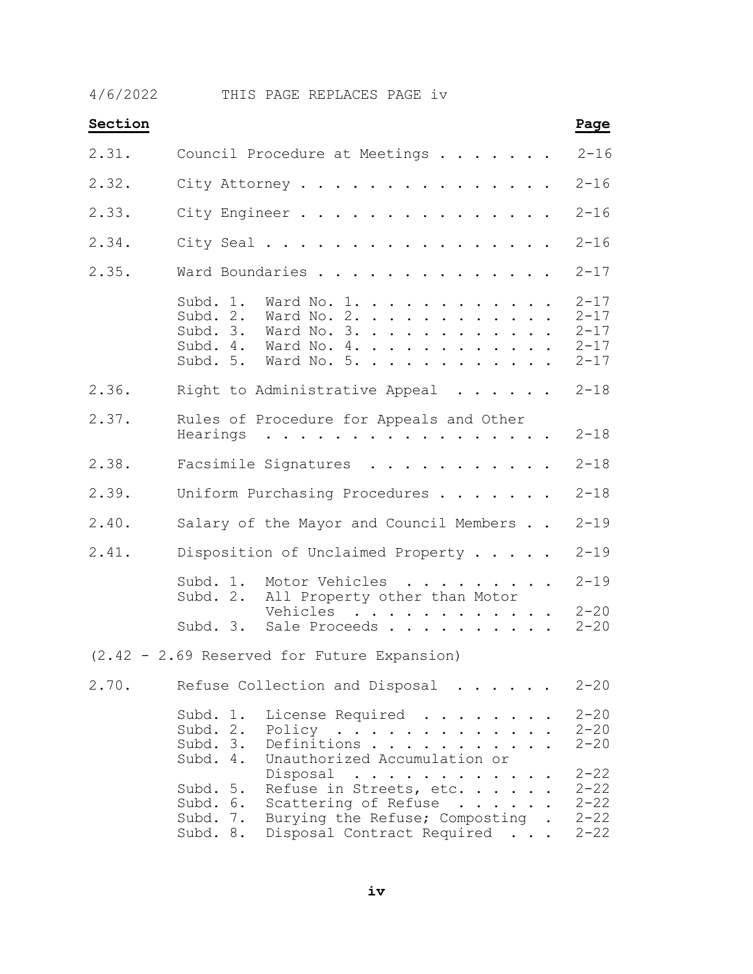4/6/2022 THIS PAGE REPLACES PAGE iv

| Section |                                                                                                                                                                                                                                                                                       | Page                                                     |
|---------|---------------------------------------------------------------------------------------------------------------------------------------------------------------------------------------------------------------------------------------------------------------------------------------|----------------------------------------------------------|
| 2.31.   | Council Procedure at Meetings                                                                                                                                                                                                                                                         | $2 - 16$                                                 |
| 2.32.   | City Attorney                                                                                                                                                                                                                                                                         | $2 - 16$                                                 |
| 2.33.   | City Engineer                                                                                                                                                                                                                                                                         | $2 - 16$                                                 |
| 2.34.   | City Seal                                                                                                                                                                                                                                                                             | $2 - 16$                                                 |
| 2.35.   | Ward Boundaries                                                                                                                                                                                                                                                                       | $2 - 17$                                                 |
|         | Subd. 1.<br>Ward No. 1.<br>Ward No. $2.$<br>Subd. 2.<br>Subd. 3.<br>Ward No. $3.$<br>$\cdot$ $\cdot$ $\cdot$ $\cdot$ $\cdot$ $\cdot$<br>Subd. 4.<br>Ward No. 4.<br>Subd. 5. Ward No. 5.                                                                                               | $2 - 17$<br>$2 - 17$<br>$2 - 17$<br>$2 - 17$<br>$2 - 17$ |
| 2.36.   | Right to Administrative Appeal                                                                                                                                                                                                                                                        | $2 - 18$                                                 |
| 2.37.   | Rules of Procedure for Appeals and Other<br>Hearings<br>. The contract of the contract of the contract of the contract of the contract of the contract of the contract of the contract of the contract of the contract of the contract of the contract of the contract of the contrac | $2 - 18$                                                 |
| 2.38.   | Facsimile Signatures<br>.                                                                                                                                                                                                                                                             | $2 - 18$                                                 |
| 2.39.   | Uniform Purchasing Procedures                                                                                                                                                                                                                                                         | $2 - 18$                                                 |
| 2.40.   | Salary of the Mayor and Council Members                                                                                                                                                                                                                                               | $2 - 19$                                                 |
| 2.41.   | Disposition of Unclaimed Property                                                                                                                                                                                                                                                     | $2 - 19$                                                 |
|         | Subd. 1.<br>Motor Vehicles<br>$\cdots$<br>Subd. 2.<br>All Property other than Motor<br>Vehicles                                                                                                                                                                                       | $2 - 19$<br>$2 - 20$                                     |
|         | $\mathcal{A}$ , and $\mathcal{A}$ , and $\mathcal{A}$ , and $\mathcal{A}$<br>Subd. 3. Sale Proceeds                                                                                                                                                                                   | $2 - 20$                                                 |
|         | $(2.42 - 2.69$ Reserved for Future Expansion)                                                                                                                                                                                                                                         |                                                          |
| 2.70.   | Refuse Collection and Disposal                                                                                                                                                                                                                                                        | $2 - 20$                                                 |
|         | Subd. 1.<br>License Required .<br>Subd. 2.<br>Policy<br>$\ddot{\phantom{0}}$<br>Subd. 3.<br>Definitions<br>Unauthorized Accumulation or<br>Subd. 4.                                                                                                                                   | $2 - 20$<br>$2 - 20$<br>$2 - 20$                         |
|         | Disposal<br>$\mathcal{A}$ , and $\mathcal{A}$ , and $\mathcal{A}$ , and $\mathcal{A}$ , and $\mathcal{A}$<br>Refuse in Streets, etc.<br>Subd. 5.<br>Scattering of Refuse<br>Subd. 6.<br>Burying the Refuse; Composting .<br>Subd. 7.<br>Disposal Contract Required<br>Subd. 8.        | $2 - 22$<br>$2 - 22$<br>$2 - 22$<br>$2 - 22$<br>$2 - 22$ |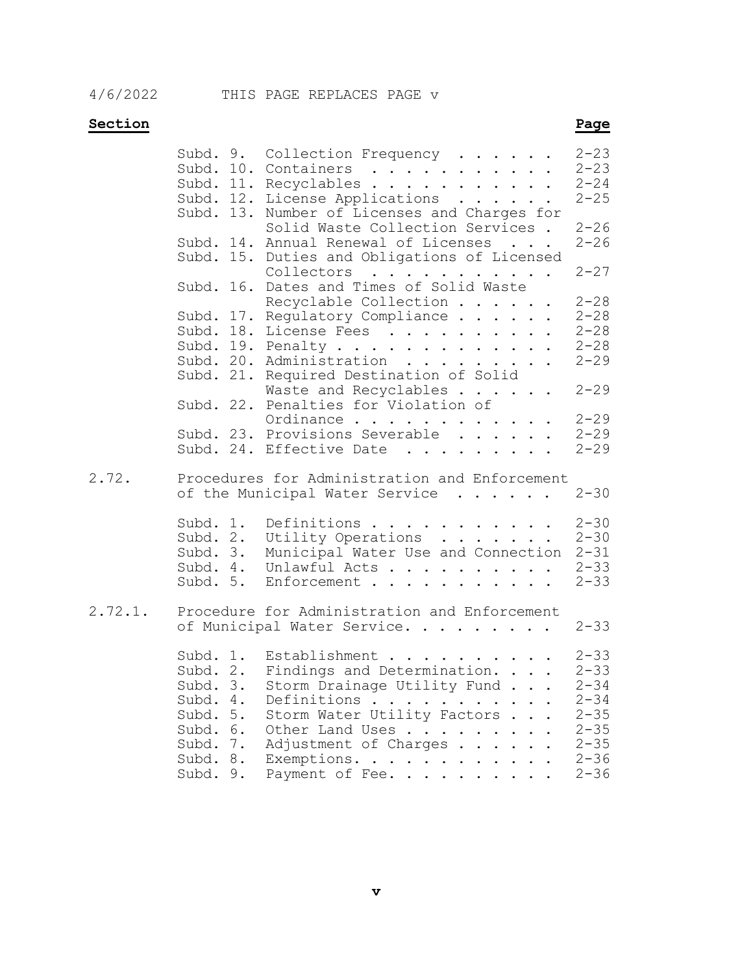## **Section** Page

|         | Subd. 9.             | Collection Frequency                                                                 | $2 - 23$ |
|---------|----------------------|--------------------------------------------------------------------------------------|----------|
|         |                      | Subd. 10. Containers $\ldots$ 2-23<br>Subd. 11. Recyclables 2-24                     |          |
|         |                      |                                                                                      | $2 - 25$ |
|         |                      | Subd. 12. License Applications                                                       |          |
|         |                      | Subd. 13. Number of Licenses and Charges for                                         |          |
|         |                      | Solid Waste Collection Services.                                                     | $2 - 26$ |
|         |                      | Subd. 14. Annual Renewal of Licenses                                                 | $2 - 26$ |
|         |                      | Subd. 15. Duties and Obligations of Licensed<br>Collectors                           | $2 - 27$ |
|         |                      | Subd. 16. Dates and Times of Solid Waste                                             |          |
|         |                      | Recyclable Collection                                                                | $2 - 28$ |
|         |                      | Subd. 17. Regulatory Compliance 2-28                                                 |          |
|         |                      | Subd. 18. License Fees                                                               | $2 - 28$ |
|         |                      | Subd. 19. Penalty 2-28                                                               |          |
|         |                      | Subd. 20. Administration 2-29                                                        |          |
|         |                      | Subd. 21. Required Destination of Solid                                              |          |
|         |                      | Waste and Recyclables                                                                | $2 - 29$ |
|         |                      | Subd. 22. Penalties for Violation of                                                 |          |
|         |                      |                                                                                      |          |
|         |                      | Ordinance 2-29<br>Subd. 23. Provisions Severable 2-29                                | $2 - 29$ |
|         |                      | Subd. 24. Effective Date                                                             | $2 - 29$ |
|         |                      |                                                                                      |          |
|         |                      |                                                                                      |          |
| 2.72.   |                      | Procedures for Administration and Enforcement                                        | $2 - 30$ |
|         |                      | of the Municipal Water Service                                                       |          |
|         | Subd. 1.             |                                                                                      | $2 - 30$ |
|         |                      | Definitions                                                                          |          |
|         |                      |                                                                                      |          |
|         |                      | Subd. 2. Utility Operations 2-30<br>Subd. 3. Municipal Water Use and Connection 2-31 |          |
|         | Subd. 5.             | Subd. 4. Unlawful Acts 2-33<br>Enforcement                                           | $2 - 33$ |
|         |                      |                                                                                      |          |
| 2.72.1. |                      | Procedure for Administration and Enforcement                                         |          |
|         |                      | of Municipal Water Service.                                                          | $2 - 33$ |
|         | Subd. 1.             | Establishment                                                                        | $2 - 33$ |
|         | Subd. 2.             |                                                                                      | $2 - 33$ |
|         |                      | Findings and Determination.                                                          |          |
|         | Subd. 3.             | Storm Drainage Utility Fund 2-34                                                     |          |
|         | Subd. 4.             | Definitions 2-34                                                                     |          |
|         | Subd. 5.             | Storm Water Utility Factors                                                          | $2 - 35$ |
|         | Subd. 6.             | Other Land Uses 2-35                                                                 |          |
|         | Subd. 7.             | Adjustment of Charges 2-35                                                           |          |
|         | Subd. 8.<br>Subd. 9. | Exemptions. 2-36<br>Payment of Fee. 2-36                                             |          |